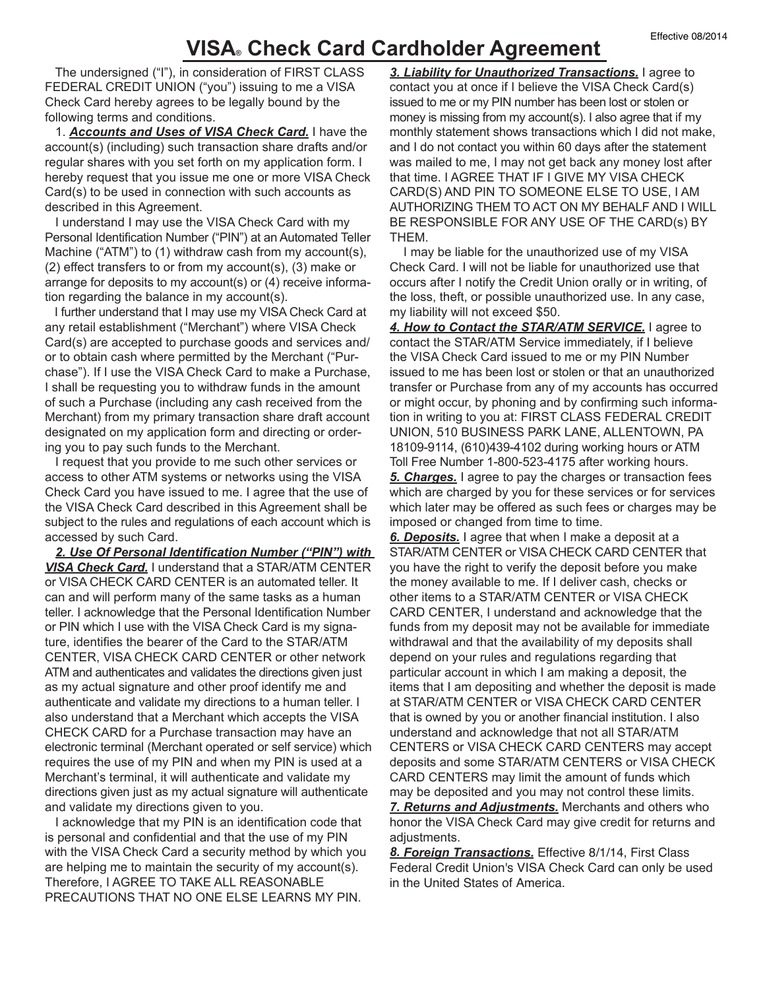## **VISA® Check Card Cardholder Agreement**

 The undersigned ("I"), in consideration of FIRST CLASS FEDERAL CREDIT UNION ("you") issuing to me a VISA Check Card hereby agrees to be legally bound by the following terms and conditions.

1. *Accounts and Uses of VISA Check Card.* I have the account(s) (including) such transaction share drafts and/or regular shares with you set forth on my application form. I hereby request that you issue me one or more VISA Check Card(s) to be used in connection with such accounts as described in this Agreement.

 I understand I may use the VISA Check Card with my Personal Identification Number ("PIN") at an Automated Teller Machine ("ATM") to (1) withdraw cash from my account(s), (2) effect transfers to or from my account(s), (3) make or arrange for deposits to my account(s) or (4) receive information regarding the balance in my account(s).

 I further understand that I may use my VISA Check Card at any retail establishment ("Merchant") where VISA Check Card(s) are accepted to purchase goods and services and/ or to obtain cash where permitted by the Merchant ("Purchase"). If I use the VISA Check Card to make a Purchase, I shall be requesting you to withdraw funds in the amount of such a Purchase (including any cash received from the Merchant) from my primary transaction share draft account designated on my application form and directing or ordering you to pay such funds to the Merchant.

 I request that you provide to me such other services or access to other ATM systems or networks using the VISA Check Card you have issued to me. I agree that the use of the VISA Check Card described in this Agreement shall be subject to the rules and regulations of each account which is accessed by such Card.

*2. Use Of Personal Identification Number ("PIN") with VISA Check Card.* I understand that a STAR/ATM CENTER or VISA CHECK CARD CENTER is an automated teller. It can and will perform many of the same tasks as a human teller. I acknowledge that the Personal Identification Number or PIN which I use with the VISA Check Card is my signature, identifies the bearer of the Card to the STAR/ATM CENTER, VISA CHECK CARD CENTER or other network ATM and authenticates and validates the directions given just as my actual signature and other proof identify me and authenticate and validate my directions to a human teller. I also understand that a Merchant which accepts the VISA CHECK CARD for a Purchase transaction may have an electronic terminal (Merchant operated or self service) which requires the use of my PIN and when my PIN is used at a Merchant's terminal, it will authenticate and validate my directions given just as my actual signature will authenticate and validate my directions given to you.

 I acknowledge that my PIN is an identification code that is personal and confidential and that the use of my PIN with the VISA Check Card a security method by which you are helping me to maintain the security of my account(s). Therefore, I AGREE TO TAKE ALL REASONABLE PRECAUTIONS THAT NO ONE ELSE LEARNS MY PIN.

*3. Liability for Unauthorized Transactions.* I agree to contact you at once if I believe the VISA Check Card(s) issued to me or my PIN number has been lost or stolen or money is missing from my account(s). I also agree that if my monthly statement shows transactions which I did not make, and I do not contact you within 60 days after the statement was mailed to me, I may not get back any money lost after that time. I AGREE THAT IF I GIVE MY VISA CHECK CARD(S) AND PIN TO SOMEONE ELSE TO USE, I AM AUTHORIZING THEM TO ACT ON MY BEHALF AND I WILL BE RESPONSIBLE FOR ANY USE OF THE CARD(s) BY THEM.

 I may be liable for the unauthorized use of my VISA Check Card. I will not be liable for unauthorized use that occurs after I notify the Credit Union orally or in writing, of the loss, theft, or possible unauthorized use. In any case, my liability will not exceed \$50.

*4. How to Contact the STAR/ATM SERVICE.* I agree to contact the STAR/ATM Service immediately, if I believe the VISA Check Card issued to me or my PIN Number issued to me has been lost or stolen or that an unauthorized transfer or Purchase from any of my accounts has occurred or might occur, by phoning and by confirming such information in writing to you at: FIRST CLASS FEDERAL CREDIT UNION, 510 BUSINESS PARK LANE, ALLENTOWN, PA 18109-9114, (610)439-4102 during working hours or ATM Toll Free Number 1-800-523-4175 after working hours. *5. Charges.* I agree to pay the charges or transaction fees which are charged by you for these services or for services which later may be offered as such fees or charges may be imposed or changed from time to time.

*6. Deposits.* I agree that when I make a deposit at a STAR/ATM CENTER or VISA CHECK CARD CENTER that you have the right to verify the deposit before you make the money available to me. If I deliver cash, checks or other items to a STAR/ATM CENTER or VISA CHECK CARD CENTER, I understand and acknowledge that the funds from my deposit may not be available for immediate withdrawal and that the availability of my deposits shall depend on your rules and regulations regarding that particular account in which I am making a deposit, the items that I am depositing and whether the deposit is made at STAR/ATM CENTER or VISA CHECK CARD CENTER that is owned by you or another financial institution. I also understand and acknowledge that not all STAR/ATM CENTERS or VISA CHECK CARD CENTERS may accept deposits and some STAR/ATM CENTERS or VISA CHECK CARD CENTERS may limit the amount of funds which may be deposited and you may not control these limits. *7. Returns and Adjustments.* Merchants and others who honor the VISA Check Card may give credit for returns and

adjustments. *8. Foreign Transactions.* Effective 8/1/14, First Class Federal Credit Union's VISA Check Card can only be used

in the United States of America.